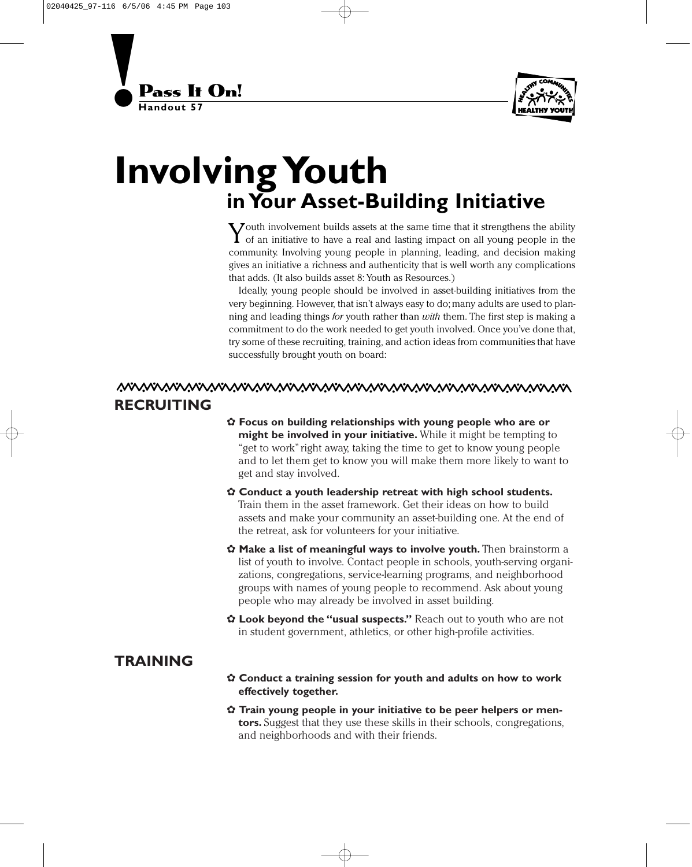



## **Involving Youth in Your Asset-Building Initiative**

 $\sum$  outh involvement builds assets at the same time that it strengthens the ability of an initiative to have a real and lasting impact on all young people in the community. Involving young people in planning, leading, and decision making gives an initiative a richness and authenticity that is well worth any complications that adds. (It also builds asset 8: Youth as Resources.)

Ideally, young people should be involved in asset-building initiatives from the very beginning. However, that isn't always easy to do; many adults are used to planning and leading things *for* youth rather than *with* them. The first step is making a commitment to do the work needed to get youth involved. Once you've done that, try some of these recruiting, training, and action ideas from communities that have successfully brought youth on board:

## <u>MVWWWWWWWWWWWWWWWWWWWWWWW</u> **RECRUITING**

- ✿ **Focus on building relationships with young people who are or might be involved in your initiative.** While it might be tempting to "get to work"right away, taking the time to get to know young people and to let them get to know you will make them more likely to want to get and stay involved.
- ✿ **Conduct a youth leadership retreat with high school students.** Train them in the asset framework. Get their ideas on how to build assets and make your community an asset-building one. At the end of the retreat, ask for volunteers for your initiative.
- ✿ **Make a list of meaningful ways to involve youth.** Then brainstorm a list of youth to involve. Contact people in schools, youth-serving organizations, congregations, service-learning programs, and neighborhood groups with names of young people to recommend. Ask about young people who may already be involved in asset building.
- ✿ **Look beyond the "usual suspects."** Reach out to youth who are not in student government, athletics, or other high-profile activities.

## **TRAINING**

- ✿ **Conduct a training session for youth and adults on how to work effectively together.**
- ✿ **Train young people in your initiative to be peer helpers or mentors.** Suggest that they use these skills in their schools, congregations, and neighborhoods and with their friends.